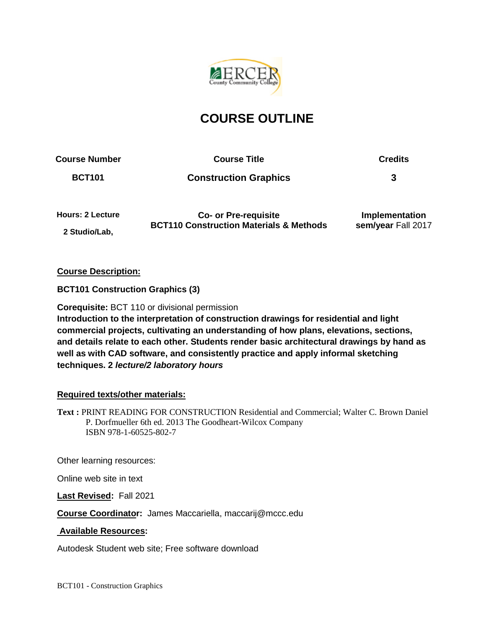

# **COURSE OUTLINE**

**Course Number Course Title Credits**

**BCT101 Construction Graphics 3**

**Hours: 2 Lecture 2 Studio/Lab,** 

**Co- or Pre-requisite BCT110 Construction Materials & Methods**

**Implementation sem/year** Fall 2017

**Course Description:**

**BCT101 Construction Graphics (3)**

**Corequisite:** BCT 110 or divisional permission **Introduction to the interpretation of construction drawings for residential and light commercial projects, cultivating an understanding of how plans, elevations, sections, and details relate to each other. Students render basic architectural drawings by hand as well as with CAD software, and consistently practice and apply informal sketching** 

**techniques. 2** *lecture/2 laboratory hours*

## **Required texts/other materials:**

**Text :** PRINT READING FOR CONSTRUCTION Residential and Commercial; Walter C. Brown Daniel P. Dorfmueller 6th ed. 2013 The Goodheart-Wilcox Company ISBN 978-1-60525-802-7

Other learning resources:

Online web site in text

**Last Revised:** Fall 2021

**Course Coordinator:** James Maccariella, maccarij@mccc.edu

## **Available Resources:**

Autodesk Student web site; Free software download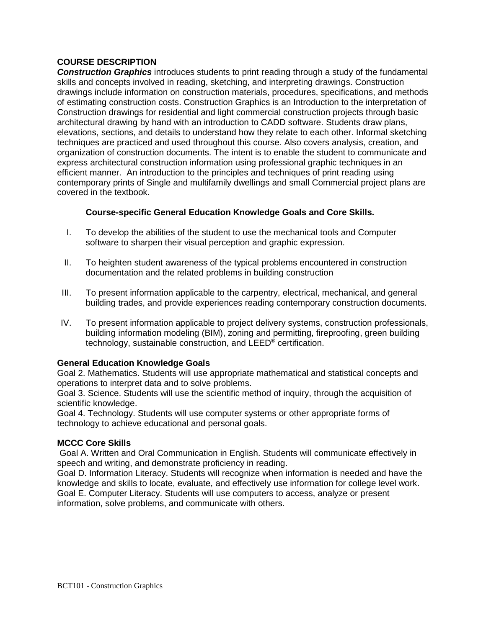### **COURSE DESCRIPTION**

*Construction Graphics* introduces students to print reading through a study of the fundamental skills and concepts involved in reading, sketching, and interpreting drawings. Construction drawings include information on construction materials, procedures, specifications, and methods of estimating construction costs. Construction Graphics is an Introduction to the interpretation of Construction drawings for residential and light commercial construction projects through basic architectural drawing by hand with an introduction to CADD software. Students draw plans, elevations, sections, and details to understand how they relate to each other. Informal sketching techniques are practiced and used throughout this course. Also covers analysis, creation, and organization of construction documents. The intent is to enable the student to communicate and express architectural construction information using professional graphic techniques in an efficient manner. An introduction to the principles and techniques of print reading using contemporary prints of Single and multifamily dwellings and small Commercial project plans are covered in the textbook.

### **Course-specific General Education Knowledge Goals and Core Skills.**

- I. To develop the abilities of the student to use the mechanical tools and Computer software to sharpen their visual perception and graphic expression.
- II. To heighten student awareness of the typical problems encountered in construction documentation and the related problems in building construction
- III. To present information applicable to the carpentry, electrical, mechanical, and general building trades, and provide experiences reading contemporary construction documents.
- IV. To present information applicable to project delivery systems, construction professionals, building information modeling (BIM), zoning and permitting, fireproofing, green building technology, sustainable construction, and LEED® certification.

#### **General Education Knowledge Goals**

Goal 2. Mathematics. Students will use appropriate mathematical and statistical concepts and operations to interpret data and to solve problems.

Goal 3. Science. Students will use the scientific method of inquiry, through the acquisition of scientific knowledge.

Goal 4. Technology. Students will use computer systems or other appropriate forms of technology to achieve educational and personal goals.

#### **MCCC Core Skills**

Goal A. Written and Oral Communication in English. Students will communicate effectively in speech and writing, and demonstrate proficiency in reading.

Goal D. Information Literacy. Students will recognize when information is needed and have the knowledge and skills to locate, evaluate, and effectively use information for college level work. Goal E. Computer Literacy. Students will use computers to access, analyze or present information, solve problems, and communicate with others.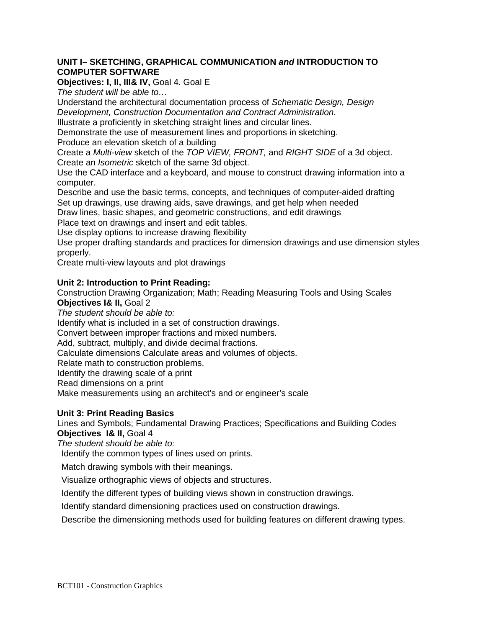#### **UNIT I– SKETCHING, GRAPHICAL COMMUNICATION** *and* **INTRODUCTION TO COMPUTER SOFTWARE**

## **Objectives: I, II, III& IV,** Goal 4. Goal E

*The student will be able to…*

Understand the architectural documentation process of *Schematic Design, Design Development, Construction Documentation and Contract Administration*.

Illustrate a proficiently in sketching straight lines and circular lines.

Demonstrate the use of measurement lines and proportions in sketching.

Produce an elevation sketch of a building

Create a *Multi-view* sketch of the *TOP VIEW, FRONT,* and *RIGHT SIDE* of a 3d object. Create an *Isometric* sketch of the same 3d object.

Use the CAD interface and a keyboard, and mouse to construct drawing information into a computer.

Describe and use the basic terms, concepts, and techniques of computer-aided drafting Set up drawings, use drawing aids, save drawings, and get help when needed

Draw lines, basic shapes, and geometric constructions, and edit drawings Place text on drawings and insert and edit tables.

Use display options to increase drawing flexibility

Use proper drafting standards and practices for dimension drawings and use dimension styles properly.

Create multi-view layouts and plot drawings

#### **Unit 2: Introduction to Print Reading:**

Construction Drawing Organization; Math; Reading Measuring Tools and Using Scales **Objectives I& II,** Goal 2

*The student should be able to:*

Identify what is included in a set of construction drawings.

Convert between improper fractions and mixed numbers.

Add, subtract, multiply, and divide decimal fractions.

Calculate dimensions Calculate areas and volumes of objects.

Relate math to construction problems.

Identify the drawing scale of a print

Read dimensions on a print

Make measurements using an architect's and or engineer's scale

#### **Unit 3: Print Reading Basics**

Lines and Symbols; Fundamental Drawing Practices; Specifications and Building Codes **Objectives I& II,** Goal 4

*The student should be able to:*

Identify the common types of lines used on prints.

Match drawing symbols with their meanings.

Visualize orthographic views of objects and structures.

Identify the different types of building views shown in construction drawings.

Identify standard dimensioning practices used on construction drawings.

Describe the dimensioning methods used for building features on different drawing types.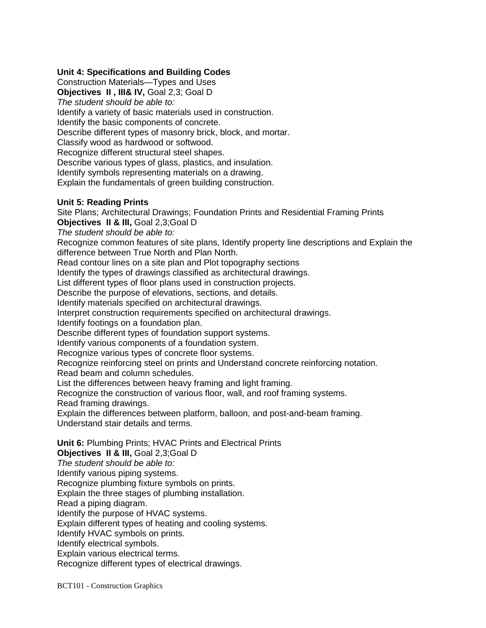### **Unit 4: Specifications and Building Codes**

Construction Materials—Types and Uses **Objectives II , III& IV,** Goal 2,3; Goal D *The student should be able to:* Identify a variety of basic materials used in construction. Identify the basic components of concrete. Describe different types of masonry brick, block, and mortar. Classify wood as hardwood or softwood. Recognize different structural steel shapes. Describe various types of glass, plastics, and insulation. Identify symbols representing materials on a drawing. Explain the fundamentals of green building construction.

#### **Unit 5: Reading Prints**

Site Plans; Architectural Drawings; Foundation Prints and Residential Framing Prints **Objectives II & III,** Goal 2,3;Goal D

*The student should be able to:*

Recognize common features of site plans, Identify property line descriptions and Explain the difference between True North and Plan North.

Read contour lines on a site plan and Plot topography sections

Identify the types of drawings classified as architectural drawings.

List different types of floor plans used in construction projects.

Describe the purpose of elevations, sections, and details.

Identify materials specified on architectural drawings.

Interpret construction requirements specified on architectural drawings.

Identify footings on a foundation plan.

Describe different types of foundation support systems.

Identify various components of a foundation system.

Recognize various types of concrete floor systems.

Recognize reinforcing steel on prints and Understand concrete reinforcing notation.

Read beam and column schedules.

List the differences between heavy framing and light framing.

Recognize the construction of various floor, wall, and roof framing systems.

Read framing drawings.

Explain the differences between platform, balloon, and post-and-beam framing. Understand stair details and terms.

**Unit 6:** Plumbing Prints; HVAC Prints and Electrical Prints

**Objectives II & III,** Goal 2,3;Goal D

*The student should be able to:*

Identify various piping systems.

Recognize plumbing fixture symbols on prints.

Explain the three stages of plumbing installation.

Read a piping diagram.

Identify the purpose of HVAC systems.

Explain different types of heating and cooling systems.

Identify HVAC symbols on prints.

Identify electrical symbols.

Explain various electrical terms.

Recognize different types of electrical drawings.

BCT101 - Construction Graphics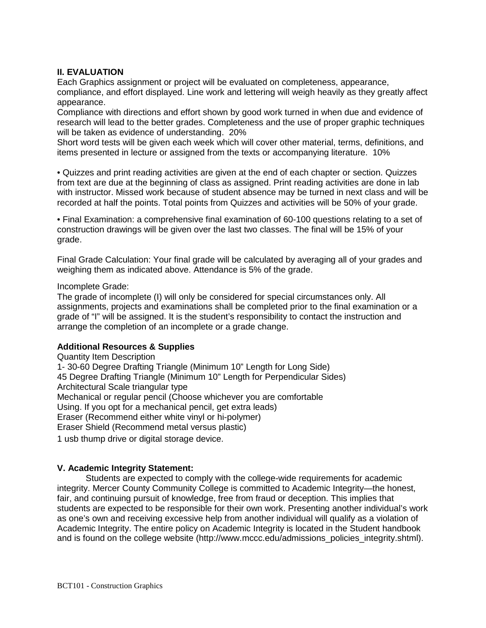#### **II. EVALUATION**

Each Graphics assignment or project will be evaluated on completeness, appearance, compliance, and effort displayed. Line work and lettering will weigh heavily as they greatly affect appearance.

Compliance with directions and effort shown by good work turned in when due and evidence of research will lead to the better grades. Completeness and the use of proper graphic techniques will be taken as evidence of understanding. 20%

Short word tests will be given each week which will cover other material, terms, definitions, and items presented in lecture or assigned from the texts or accompanying literature. 10%

• Quizzes and print reading activities are given at the end of each chapter or section. Quizzes from text are due at the beginning of class as assigned. Print reading activities are done in lab with instructor. Missed work because of student absence may be turned in next class and will be recorded at half the points. Total points from Quizzes and activities will be 50% of your grade.

• Final Examination: a comprehensive final examination of 60-100 questions relating to a set of construction drawings will be given over the last two classes. The final will be 15% of your grade.

Final Grade Calculation: Your final grade will be calculated by averaging all of your grades and weighing them as indicated above. Attendance is 5% of the grade.

#### Incomplete Grade:

The grade of incomplete (I) will only be considered for special circumstances only. All assignments, projects and examinations shall be completed prior to the final examination or a grade of "I" will be assigned. It is the student's responsibility to contact the instruction and arrange the completion of an incomplete or a grade change.

#### **Additional Resources & Supplies**

Quantity Item Description 1- 30-60 Degree Drafting Triangle (Minimum 10" Length for Long Side) 45 Degree Drafting Triangle (Minimum 10" Length for Perpendicular Sides) Architectural Scale triangular type Mechanical or regular pencil (Choose whichever you are comfortable Using. If you opt for a mechanical pencil, get extra leads) Eraser (Recommend either white vinyl or hi-polymer) Eraser Shield (Recommend metal versus plastic)

1 usb thump drive or digital storage device.

#### **V. Academic Integrity Statement:**

Students are expected to comply with the college-wide requirements for academic integrity. Mercer County Community College is committed to Academic Integrity—the honest, fair, and continuing pursuit of knowledge, free from fraud or deception. This implies that students are expected to be responsible for their own work. Presenting another individual's work as one's own and receiving excessive help from another individual will qualify as a violation of Academic Integrity. The entire policy on Academic Integrity is located in the Student handbook and is found on the college website (http://www.mccc.edu/admissions\_policies\_integrity.shtml).